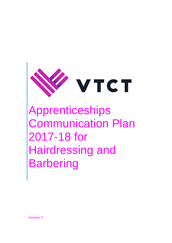

Apprenticeships Communication Plan 2017-18 for Hairdressing and **Barbering** 

Version 2